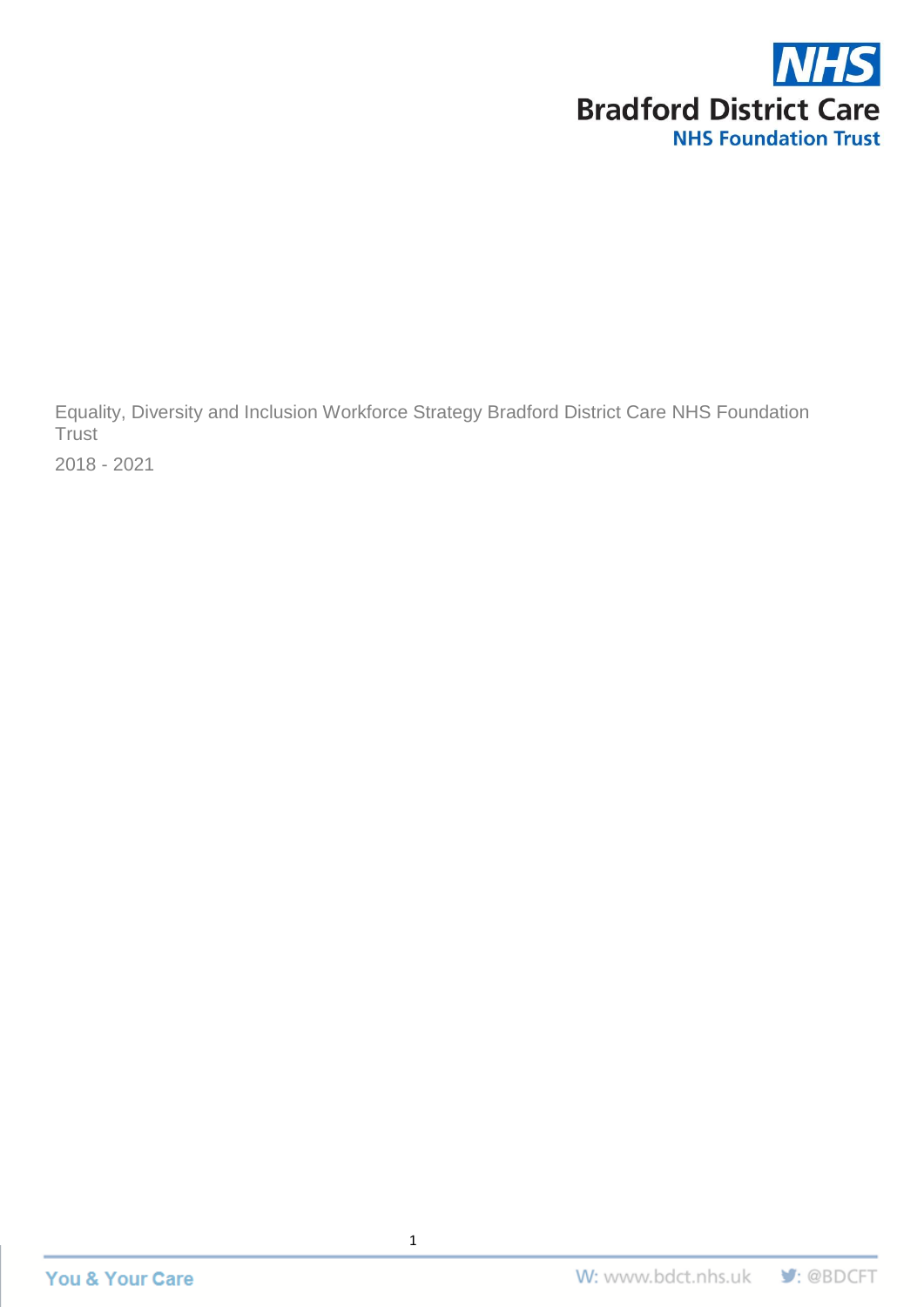

Equality, Diversity and Inclusion Workforce Strategy Bradford District Care NHS Foundation **Trust** 

2018 - 2021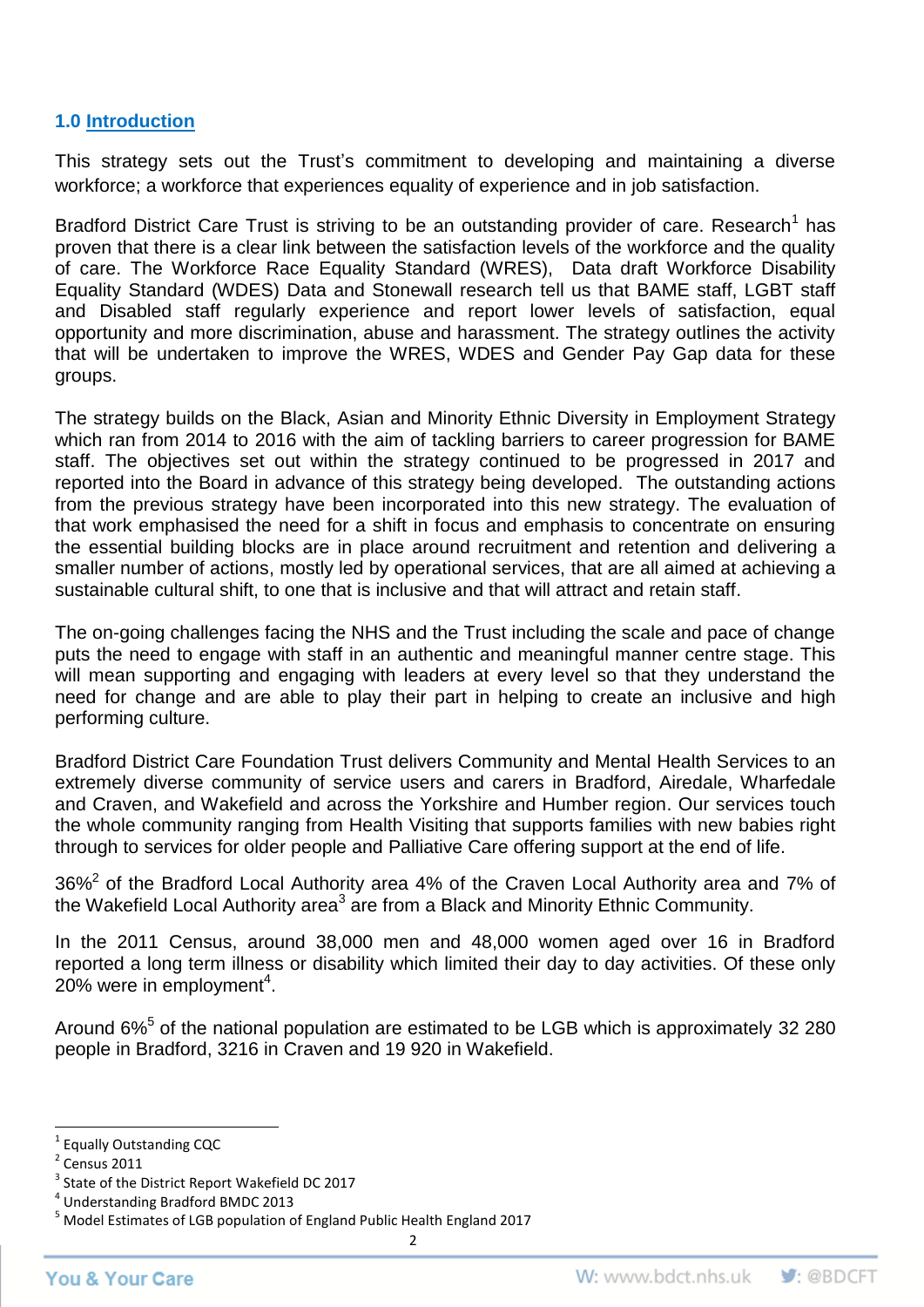### **1.0 Introduction**

This strategy sets out the Trust's commitment to developing and maintaining a diverse workforce; a workforce that experiences equality of experience and in job satisfaction.

Bradford District Care Trust is striving to be an outstanding provider of care. Research<sup>1</sup> has proven that there is a clear link between the satisfaction levels of the workforce and the quality of care. The Workforce Race Equality Standard (WRES), Data draft Workforce Disability Equality Standard (WDES) Data and Stonewall research tell us that BAME staff, LGBT staff and Disabled staff regularly experience and report lower levels of satisfaction, equal opportunity and more discrimination, abuse and harassment. The strategy outlines the activity that will be undertaken to improve the WRES, WDES and Gender Pay Gap data for these groups.

The strategy builds on the Black, Asian and Minority Ethnic Diversity in Employment Strategy which ran from 2014 to 2016 with the aim of tackling barriers to career progression for BAME staff. The objectives set out within the strategy continued to be progressed in 2017 and reported into the Board in advance of this strategy being developed. The outstanding actions from the previous strategy have been incorporated into this new strategy. The evaluation of that work emphasised the need for a shift in focus and emphasis to concentrate on ensuring the essential building blocks are in place around recruitment and retention and delivering a smaller number of actions, mostly led by operational services, that are all aimed at achieving a sustainable cultural shift, to one that is inclusive and that will attract and retain staff.

The on-going challenges facing the NHS and the Trust including the scale and pace of change puts the need to engage with staff in an authentic and meaningful manner centre stage. This will mean supporting and engaging with leaders at every level so that they understand the need for change and are able to play their part in helping to create an inclusive and high performing culture.

Bradford District Care Foundation Trust delivers Community and Mental Health Services to an extremely diverse community of service users and carers in Bradford, Airedale, Wharfedale and Craven, and Wakefield and across the Yorkshire and Humber region. Our services touch the whole community ranging from Health Visiting that supports families with new babies right through to services for older people and Palliative Care offering support at the end of life.

36%<sup>2</sup> of the Bradford Local Authority area 4% of the Craven Local Authority area and 7% of the Wakefield Local Authority area<sup>3</sup> are from a Black and Minority Ethnic Community.

In the 2011 Census, around 38,000 men and 48,000 women aged over 16 in Bradford reported a long term illness or disability which limited their day to day activities. Of these only 20% were in employment<sup>4</sup>.

Around 6%<sup>5</sup> of the national population are estimated to be LGB which is approximately 32 280 people in Bradford, 3216 in Craven and 19 920 in Wakefield.

 $\overline{\phantom{a}}$ 

 $\overline{a}$ <sup>1</sup> Equally Outstanding CQC

 $2$  Census 2011

<sup>&</sup>lt;sup>3</sup> State of the District Report Wakefield DC 2017

<sup>4</sup> Understanding Bradford BMDC 2013

<sup>5</sup> Model Estimates of LGB population of England Public Health England 2017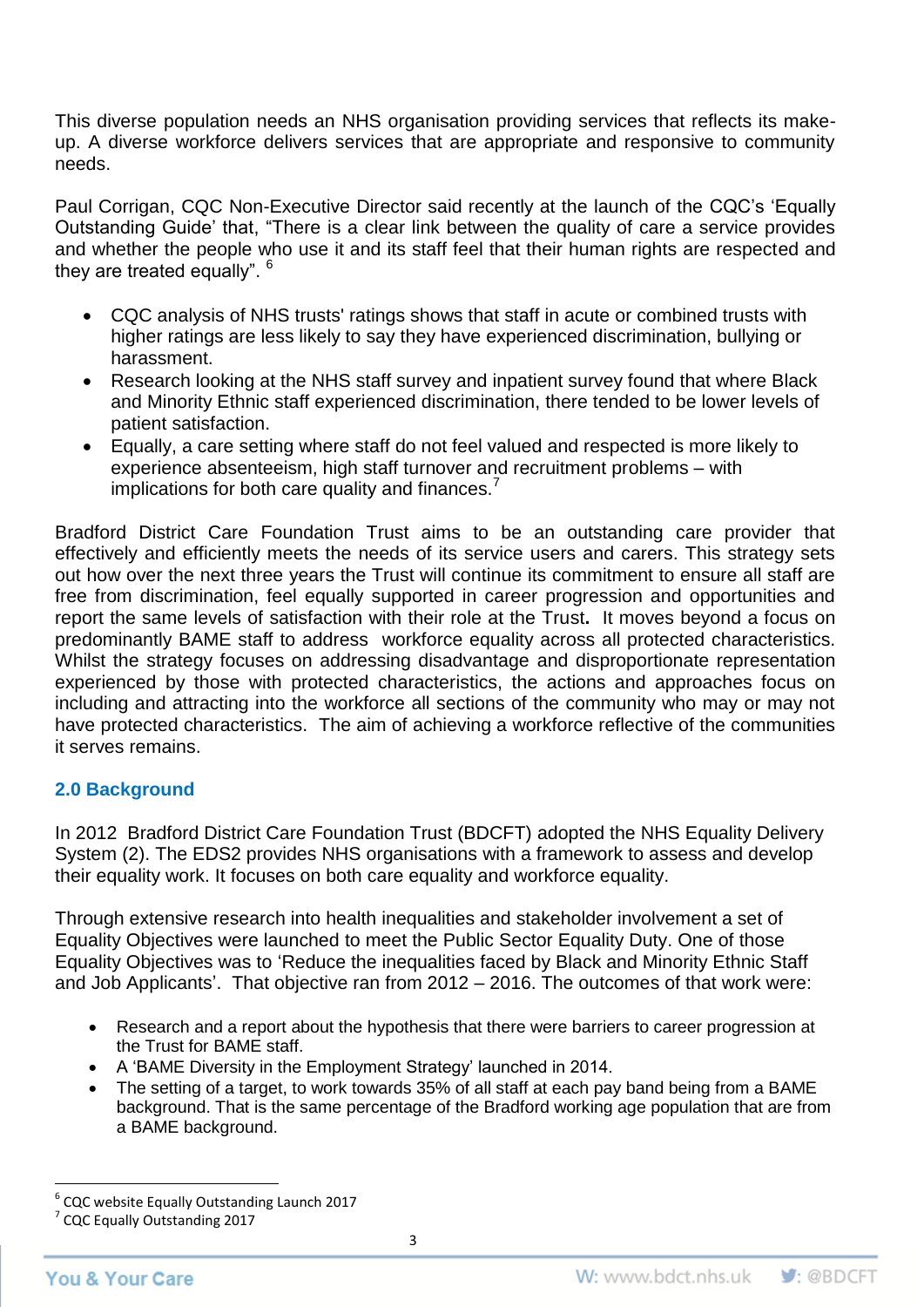This diverse population needs an NHS organisation providing services that reflects its makeup. A diverse workforce delivers services that are appropriate and responsive to community needs.

Paul Corrigan, CQC Non-Executive Director said recently at the launch of the CQC's 'Equally Outstanding Guide' that, "There is a clear link between the quality of care a service provides and whether the people who use it and its staff feel that their human rights are respected and they are treated equally".  $^6$ 

- CQC analysis of NHS trusts' ratings shows that staff in acute or combined trusts with higher ratings are less likely to say they have experienced discrimination, bullying or harassment.
- Research looking at the NHS staff survey and inpatient survey found that where Black and Minority Ethnic staff experienced discrimination, there tended to be lower levels of patient satisfaction.
- Equally, a care setting where staff do not feel valued and respected is more likely to experience absenteeism, high staff turnover and recruitment problems – with implications for both care quality and finances.<sup>7</sup>

Bradford District Care Foundation Trust aims to be an outstanding care provider that effectively and efficiently meets the needs of its service users and carers. This strategy sets out how over the next three years the Trust will continue its commitment to ensure all staff are free from discrimination, feel equally supported in career progression and opportunities and report the same levels of satisfaction with their role at the Trust**.** It moves beyond a focus on predominantly BAME staff to address workforce equality across all protected characteristics. Whilst the strategy focuses on addressing disadvantage and disproportionate representation experienced by those with protected characteristics, the actions and approaches focus on including and attracting into the workforce all sections of the community who may or may not have protected characteristics. The aim of achieving a workforce reflective of the communities it serves remains.

## **2.0 Background**

In 2012 Bradford District Care Foundation Trust (BDCFT) adopted the NHS Equality Delivery System (2). The EDS2 provides NHS organisations with a framework to assess and develop their equality work. It focuses on both care equality and workforce equality.

Through extensive research into health inequalities and stakeholder involvement a set of Equality Objectives were launched to meet the Public Sector Equality Duty. One of those Equality Objectives was to 'Reduce the inequalities faced by Black and Minority Ethnic Staff and Job Applicants'. That objective ran from 2012 – 2016. The outcomes of that work were:

- Research and a report about the hypothesis that there were barriers to career progression at the Trust for BAME staff.
- A 'BAME Diversity in the Employment Strategy' launched in 2014.
- The setting of a target, to work towards 35% of all staff at each pay band being from a BAME background. That is the same percentage of the Bradford working age population that are from a BAME background.

 $\overline{\phantom{a}}$ 6 CQC website Equally Outstanding Launch 2017

<sup>7</sup> CQC Equally Outstanding 2017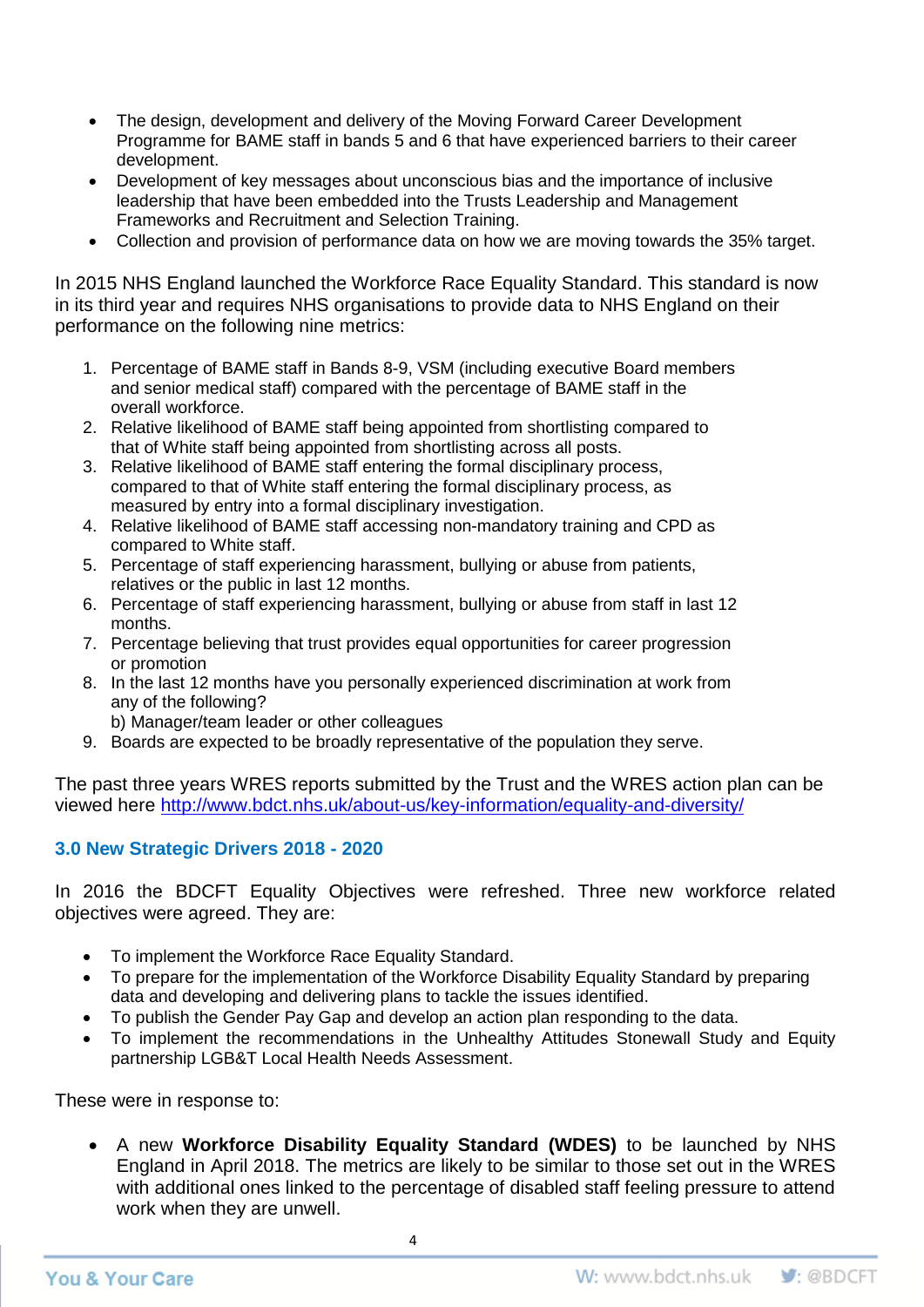- The design, development and delivery of the Moving Forward Career Development Programme for BAME staff in bands 5 and 6 that have experienced barriers to their career development.
- Development of key messages about unconscious bias and the importance of inclusive leadership that have been embedded into the Trusts Leadership and Management Frameworks and Recruitment and Selection Training.
- Collection and provision of performance data on how we are moving towards the 35% target.

In 2015 NHS England launched the Workforce Race Equality Standard. This standard is now in its third year and requires NHS organisations to provide data to NHS England on their performance on the following nine metrics:

- 1. Percentage of BAME staff in Bands 8-9, VSM (including executive Board members and senior medical staff) compared with the percentage of BAME staff in the overall workforce.
- 2. Relative likelihood of BAME staff being appointed from shortlisting compared to that of White staff being appointed from shortlisting across all posts.
- 3. Relative likelihood of BAME staff entering the formal disciplinary process, compared to that of White staff entering the formal disciplinary process, as measured by entry into a formal disciplinary investigation.
- 4. Relative likelihood of BAME staff accessing non-mandatory training and CPD as compared to White staff.
- 5. Percentage of staff experiencing harassment, bullying or abuse from patients, relatives or the public in last 12 months.
- 6. Percentage of staff experiencing harassment, bullying or abuse from staff in last 12 months.
- 7. Percentage believing that trust provides equal opportunities for career progression or promotion
- 8. In the last 12 months have you personally experienced discrimination at work from any of the following?
	- b) Manager/team leader or other colleagues
- 9. Boards are expected to be broadly representative of the population they serve.

The past three years WRES reports submitted by the Trust and the WRES action plan can be viewed here<http://www.bdct.nhs.uk/about-us/key-information/equality-and-diversity/>

### **3.0 New Strategic Drivers 2018 - 2020**

In 2016 the BDCFT Equality Objectives were refreshed. Three new workforce related objectives were agreed. They are:

- To implement the Workforce Race Equality Standard.
- To prepare for the implementation of the Workforce Disability Equality Standard by preparing data and developing and delivering plans to tackle the issues identified.
- To publish the Gender Pay Gap and develop an action plan responding to the data.
- To implement the recommendations in the Unhealthy Attitudes Stonewall Study and Equity partnership LGB&T Local Health Needs Assessment.

These were in response to:

 A new **Workforce Disability Equality Standard (WDES)** to be launched by NHS England in April 2018. The metrics are likely to be similar to those set out in the WRES with additional ones linked to the percentage of disabled staff feeling pressure to attend work when they are unwell.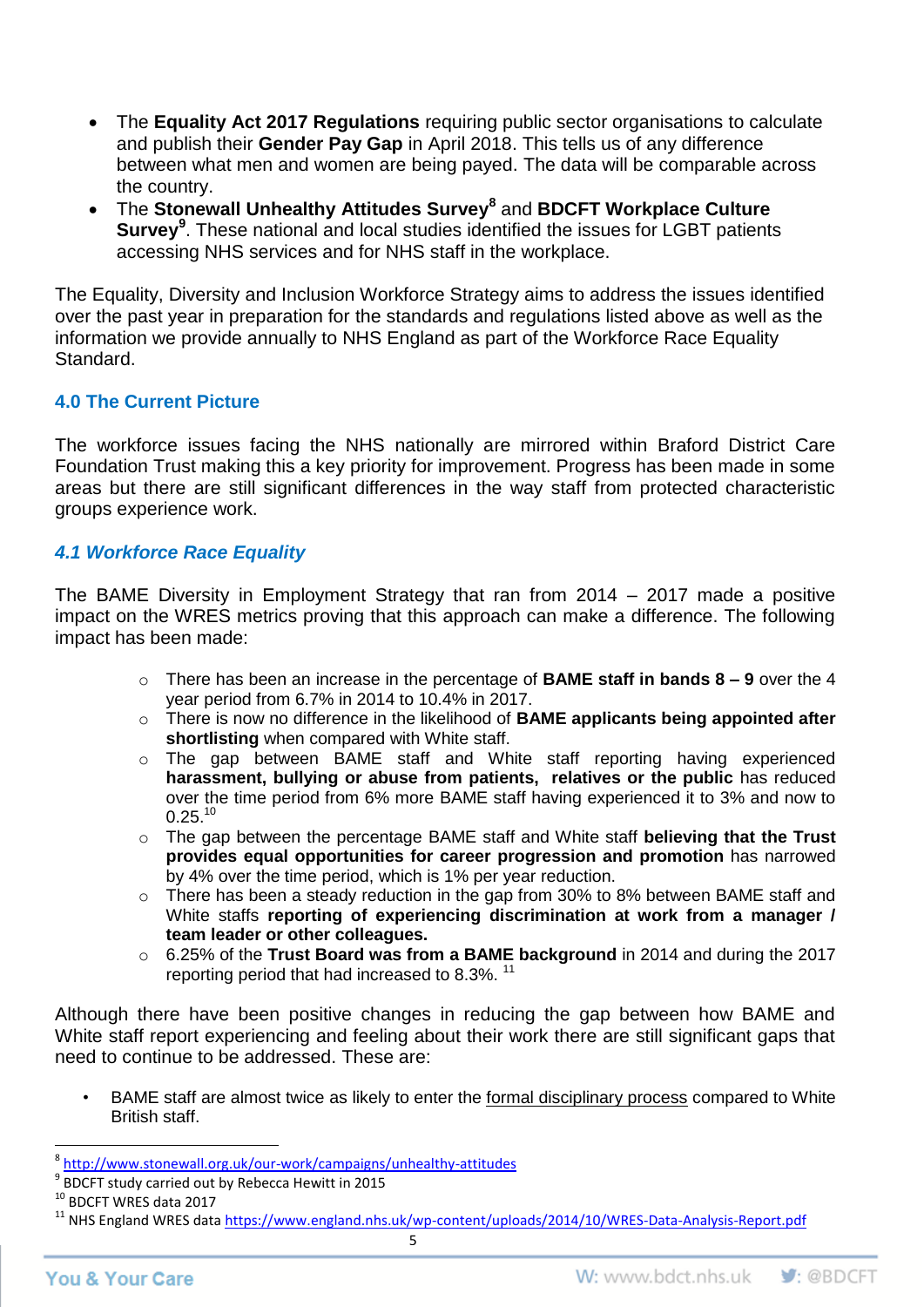- The **Equality Act 2017 Regulations** requiring public sector organisations to calculate and publish their **Gender Pay Gap** in April 2018. This tells us of any difference between what men and women are being payed. The data will be comparable across the country.
- The **Stonewall Unhealthy Attitudes Survey<sup>8</sup>** and **BDCFT Workplace Culture Survey<sup>9</sup>** . These national and local studies identified the issues for LGBT patients accessing NHS services and for NHS staff in the workplace.

The Equality, Diversity and Inclusion Workforce Strategy aims to address the issues identified over the past year in preparation for the standards and regulations listed above as well as the information we provide annually to NHS England as part of the Workforce Race Equality Standard.

### **4.0 The Current Picture**

The workforce issues facing the NHS nationally are mirrored within Braford District Care Foundation Trust making this a key priority for improvement. Progress has been made in some areas but there are still significant differences in the way staff from protected characteristic groups experience work.

### *4.1 Workforce Race Equality*

The BAME Diversity in Employment Strategy that ran from 2014 – 2017 made a positive impact on the WRES metrics proving that this approach can make a difference. The following impact has been made:

- o There has been an increase in the percentage of **BAME staff in bands 8 – 9** over the 4 year period from 6.7% in 2014 to 10.4% in 2017.
- o There is now no difference in the likelihood of **BAME applicants being appointed after shortlisting** when compared with White staff.
- o The gap between BAME staff and White staff reporting having experienced **harassment, bullying or abuse from patients, relatives or the public** has reduced over the time period from 6% more BAME staff having experienced it to 3% and now to  $0.25$ <sup>10</sup>
- o The gap between the percentage BAME staff and White staff **believing that the Trust provides equal opportunities for career progression and promotion** has narrowed by 4% over the time period, which is 1% per year reduction.
- o There has been a steady reduction in the gap from 30% to 8% between BAME staff and White staffs **reporting of experiencing discrimination at work from a manager / team leader or other colleagues.**
- o 6.25% of the **Trust Board was from a BAME background** in 2014 and during the 2017 reporting period that had increased to 8.3%.<sup>11</sup>

Although there have been positive changes in reducing the gap between how BAME and White staff report experiencing and feeling about their work there are still significant gaps that need to continue to be addressed. These are:

• BAME staff are almost twice as likely to enter the formal disciplinary process compared to White British staff.

 $\overline{\phantom{a}}$ <sup>8</sup> <http://www.stonewall.org.uk/our-work/campaigns/unhealthy-attitudes>

<sup>9</sup> BDCFT study carried out by Rebecca Hewitt in 2015

<sup>10</sup> BDCFT WRES data 2017

<sup>&</sup>lt;sup>11</sup> NHS England WRES data https://www.england.nhs<u>.uk/wp-content/uploads/2014/10/WRES-Data-Analysis-Report.pdf</u>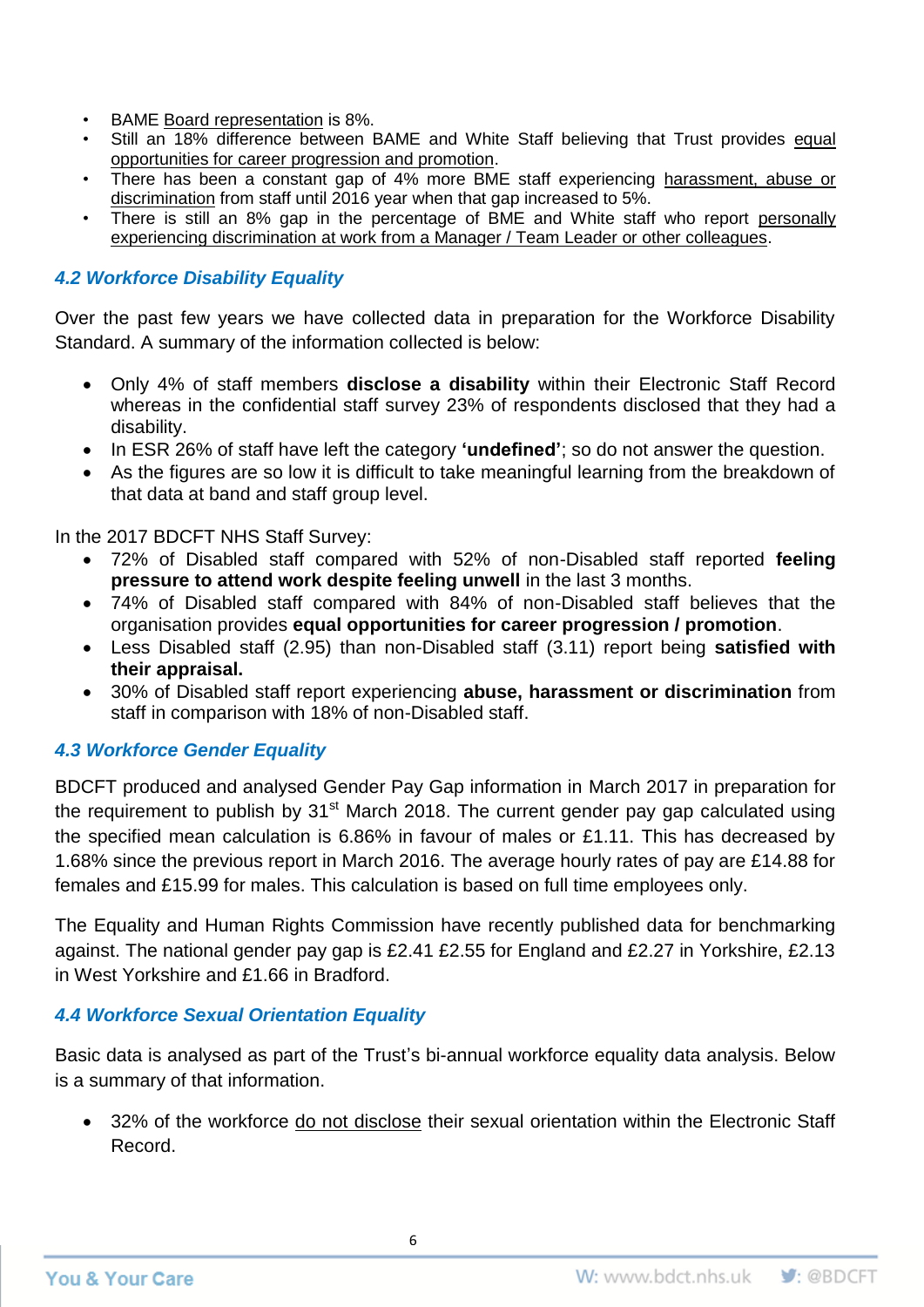- BAME Board representation is 8%.
- Still an 18% difference between BAME and White Staff believing that Trust provides equal opportunities for career progression and promotion.
- There has been a constant gap of 4% more BME staff experiencing harassment, abuse or discrimination from staff until 2016 year when that gap increased to 5%.
- There is still an 8% gap in the percentage of BME and White staff who report personally experiencing discrimination at work from a Manager / Team Leader or other colleagues.

# *4.2 Workforce Disability Equality*

Over the past few years we have collected data in preparation for the Workforce Disability Standard. A summary of the information collected is below:

- Only 4% of staff members **disclose a disability** within their Electronic Staff Record whereas in the confidential staff survey 23% of respondents disclosed that they had a disability.
- In ESR 26% of staff have left the category **'undefined'**; so do not answer the question.
- As the figures are so low it is difficult to take meaningful learning from the breakdown of that data at band and staff group level.

In the 2017 BDCFT NHS Staff Survey:

- 72% of Disabled staff compared with 52% of non-Disabled staff reported **feeling pressure to attend work despite feeling unwell** in the last 3 months.
- 74% of Disabled staff compared with 84% of non-Disabled staff believes that the organisation provides **equal opportunities for career progression / promotion**.
- Less Disabled staff (2.95) than non-Disabled staff (3.11) report being **satisfied with their appraisal.**
- 30% of Disabled staff report experiencing **abuse, harassment or discrimination** from staff in comparison with 18% of non-Disabled staff.

# *4.3 Workforce Gender Equality*

BDCFT produced and analysed Gender Pay Gap information in March 2017 in preparation for the requirement to publish by  $31<sup>st</sup>$  March 2018. The current gender pay gap calculated using the specified mean calculation is 6.86% in favour of males or £1.11. This has decreased by 1.68% since the previous report in March 2016. The average hourly rates of pay are £14.88 for females and £15.99 for males. This calculation is based on full time employees only.

The Equality and Human Rights Commission have recently published data for benchmarking against. The national gender pay gap is £2.41 £2.55 for England and £2.27 in Yorkshire, £2.13 in West Yorkshire and £1.66 in Bradford.

## *4.4 Workforce Sexual Orientation Equality*

Basic data is analysed as part of the Trust's bi-annual workforce equality data analysis. Below is a summary of that information.

• 32% of the workforce do not disclose their sexual orientation within the Electronic Staff Record.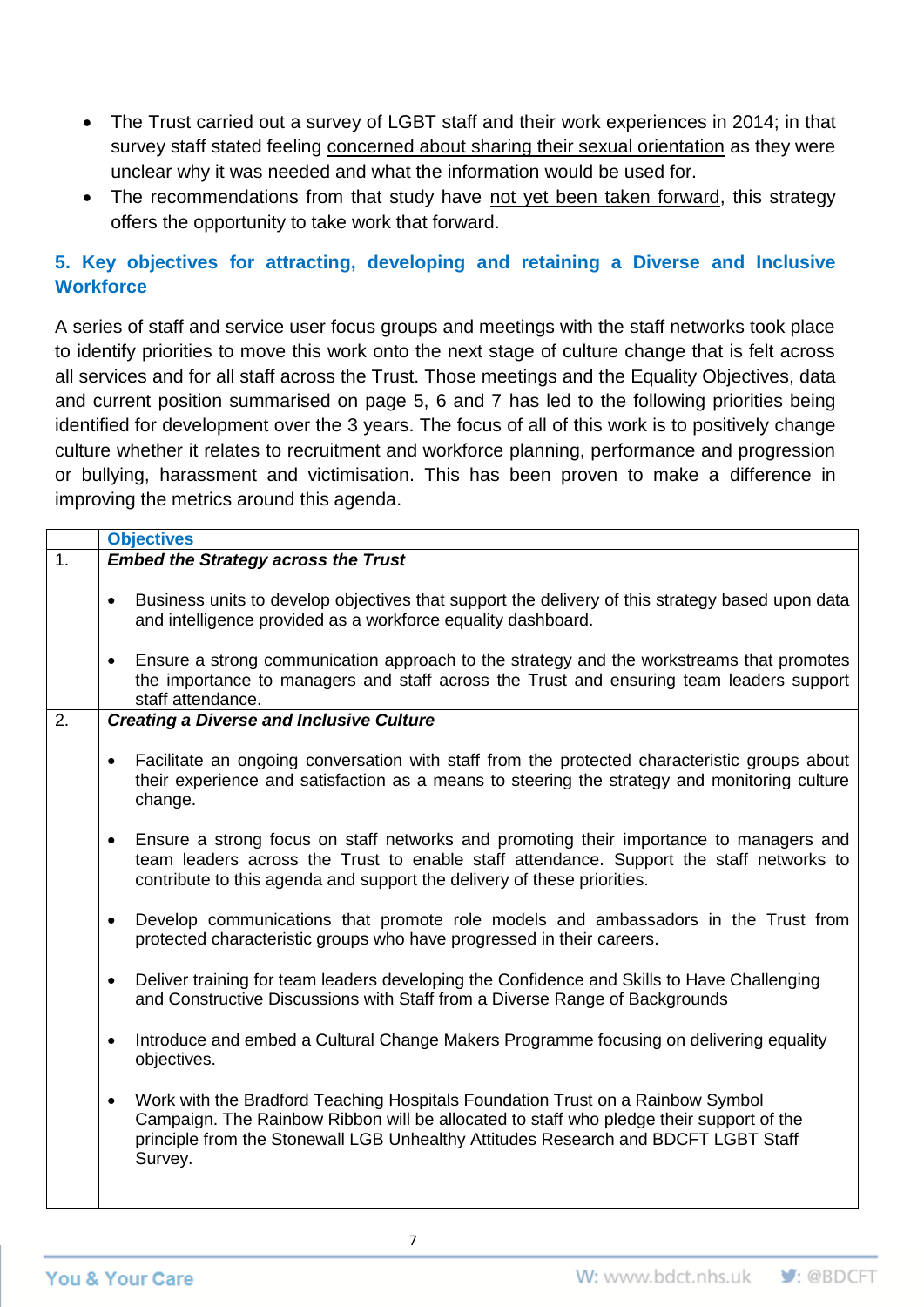- The Trust carried out a survey of LGBT staff and their work experiences in 2014; in that survey staff stated feeling concerned about sharing their sexual orientation as they were unclear why it was needed and what the information would be used for.
- The recommendations from that study have not yet been taken forward, this strategy offers the opportunity to take work that forward.

# **5. Key objectives for attracting, developing and retaining a Diverse and Inclusive Workforce**

A series of staff and service user focus groups and meetings with the staff networks took place to identify priorities to move this work onto the next stage of culture change that is felt across all services and for all staff across the Trust. Those meetings and the Equality Objectives, data and current position summarised on page 5, 6 and 7 has led to the following priorities being identified for development over the 3 years. The focus of all of this work is to positively change culture whether it relates to recruitment and workforce planning, performance and progression or bullying, harassment and victimisation. This has been proven to make a difference in improving the metrics around this agenda.

|    | <b>Objectives</b>                                                                                                                                                                                                                                                                       |  |  |
|----|-----------------------------------------------------------------------------------------------------------------------------------------------------------------------------------------------------------------------------------------------------------------------------------------|--|--|
| 1. | <b>Embed the Strategy across the Trust</b>                                                                                                                                                                                                                                              |  |  |
|    | Business units to develop objectives that support the delivery of this strategy based upon data<br>and intelligence provided as a workforce equality dashboard.                                                                                                                         |  |  |
|    | Ensure a strong communication approach to the strategy and the workstreams that promotes<br>the importance to managers and staff across the Trust and ensuring team leaders support<br>staff attendance.                                                                                |  |  |
| 2. | <b>Creating a Diverse and Inclusive Culture</b>                                                                                                                                                                                                                                         |  |  |
|    | Facilitate an ongoing conversation with staff from the protected characteristic groups about<br>their experience and satisfaction as a means to steering the strategy and monitoring culture<br>change.                                                                                 |  |  |
|    | Ensure a strong focus on staff networks and promoting their importance to managers and<br>$\bullet$<br>team leaders across the Trust to enable staff attendance. Support the staff networks to<br>contribute to this agenda and support the delivery of these priorities.               |  |  |
|    | Develop communications that promote role models and ambassadors in the Trust from<br>$\bullet$<br>protected characteristic groups who have progressed in their careers.                                                                                                                 |  |  |
|    | Deliver training for team leaders developing the Confidence and Skills to Have Challenging<br>$\bullet$<br>and Constructive Discussions with Staff from a Diverse Range of Backgrounds                                                                                                  |  |  |
|    | Introduce and embed a Cultural Change Makers Programme focusing on delivering equality<br>$\bullet$<br>objectives.                                                                                                                                                                      |  |  |
|    | Work with the Bradford Teaching Hospitals Foundation Trust on a Rainbow Symbol<br>$\bullet$<br>Campaign. The Rainbow Ribbon will be allocated to staff who pledge their support of the<br>principle from the Stonewall LGB Unhealthy Attitudes Research and BDCFT LGBT Staff<br>Survey. |  |  |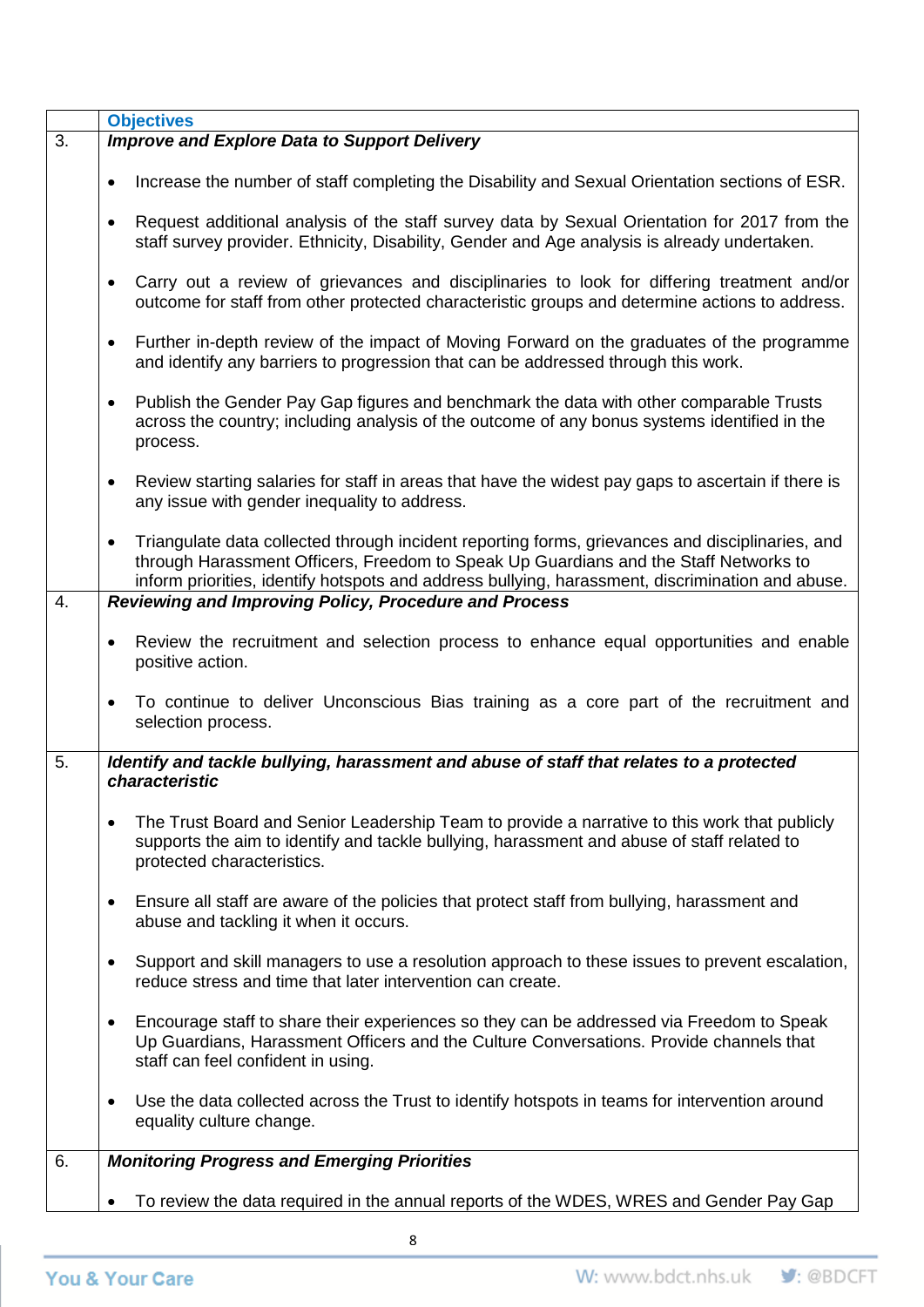|    | <b>Objectives</b>                                                                                                                                                                                                                                                                                        |  |  |
|----|----------------------------------------------------------------------------------------------------------------------------------------------------------------------------------------------------------------------------------------------------------------------------------------------------------|--|--|
| 3. | <b>Improve and Explore Data to Support Delivery</b>                                                                                                                                                                                                                                                      |  |  |
|    | Increase the number of staff completing the Disability and Sexual Orientation sections of ESR.<br>$\bullet$                                                                                                                                                                                              |  |  |
|    | Request additional analysis of the staff survey data by Sexual Orientation for 2017 from the<br>$\bullet$<br>staff survey provider. Ethnicity, Disability, Gender and Age analysis is already undertaken.                                                                                                |  |  |
|    | Carry out a review of grievances and disciplinaries to look for differing treatment and/or<br>$\bullet$<br>outcome for staff from other protected characteristic groups and determine actions to address.                                                                                                |  |  |
|    | Further in-depth review of the impact of Moving Forward on the graduates of the programme<br>$\bullet$<br>and identify any barriers to progression that can be addressed through this work.                                                                                                              |  |  |
|    | Publish the Gender Pay Gap figures and benchmark the data with other comparable Trusts<br>$\bullet$<br>across the country; including analysis of the outcome of any bonus systems identified in the<br>process.                                                                                          |  |  |
|    | Review starting salaries for staff in areas that have the widest pay gaps to ascertain if there is<br>$\bullet$<br>any issue with gender inequality to address.                                                                                                                                          |  |  |
|    | Triangulate data collected through incident reporting forms, grievances and disciplinaries, and<br>$\bullet$<br>through Harassment Officers, Freedom to Speak Up Guardians and the Staff Networks to<br>inform priorities, identify hotspots and address bullying, harassment, discrimination and abuse. |  |  |
| 4. | <b>Reviewing and Improving Policy, Procedure and Process</b>                                                                                                                                                                                                                                             |  |  |
|    | Review the recruitment and selection process to enhance equal opportunities and enable<br>$\bullet$<br>positive action.                                                                                                                                                                                  |  |  |
|    | To continue to deliver Unconscious Bias training as a core part of the recruitment and<br>selection process.                                                                                                                                                                                             |  |  |
| 5. | Identify and tackle bullying, harassment and abuse of staff that relates to a protected<br>characteristic                                                                                                                                                                                                |  |  |
|    | The Trust Board and Senior Leadership Team to provide a narrative to this work that publicly<br>٠<br>supports the aim to identify and tackle bullying, harassment and abuse of staff related to<br>protected characteristics.                                                                            |  |  |
|    | Ensure all staff are aware of the policies that protect staff from bullying, harassment and<br>abuse and tackling it when it occurs.                                                                                                                                                                     |  |  |
|    | Support and skill managers to use a resolution approach to these issues to prevent escalation,<br>٠<br>reduce stress and time that later intervention can create.                                                                                                                                        |  |  |
|    | Encourage staff to share their experiences so they can be addressed via Freedom to Speak<br>$\bullet$<br>Up Guardians, Harassment Officers and the Culture Conversations. Provide channels that<br>staff can feel confident in using.                                                                    |  |  |
|    | Use the data collected across the Trust to identify hotspots in teams for intervention around<br>$\bullet$<br>equality culture change.                                                                                                                                                                   |  |  |
| 6. | <b>Monitoring Progress and Emerging Priorities</b>                                                                                                                                                                                                                                                       |  |  |
|    | To review the data required in the annual reports of the WDES, WRES and Gender Pay Gap                                                                                                                                                                                                                   |  |  |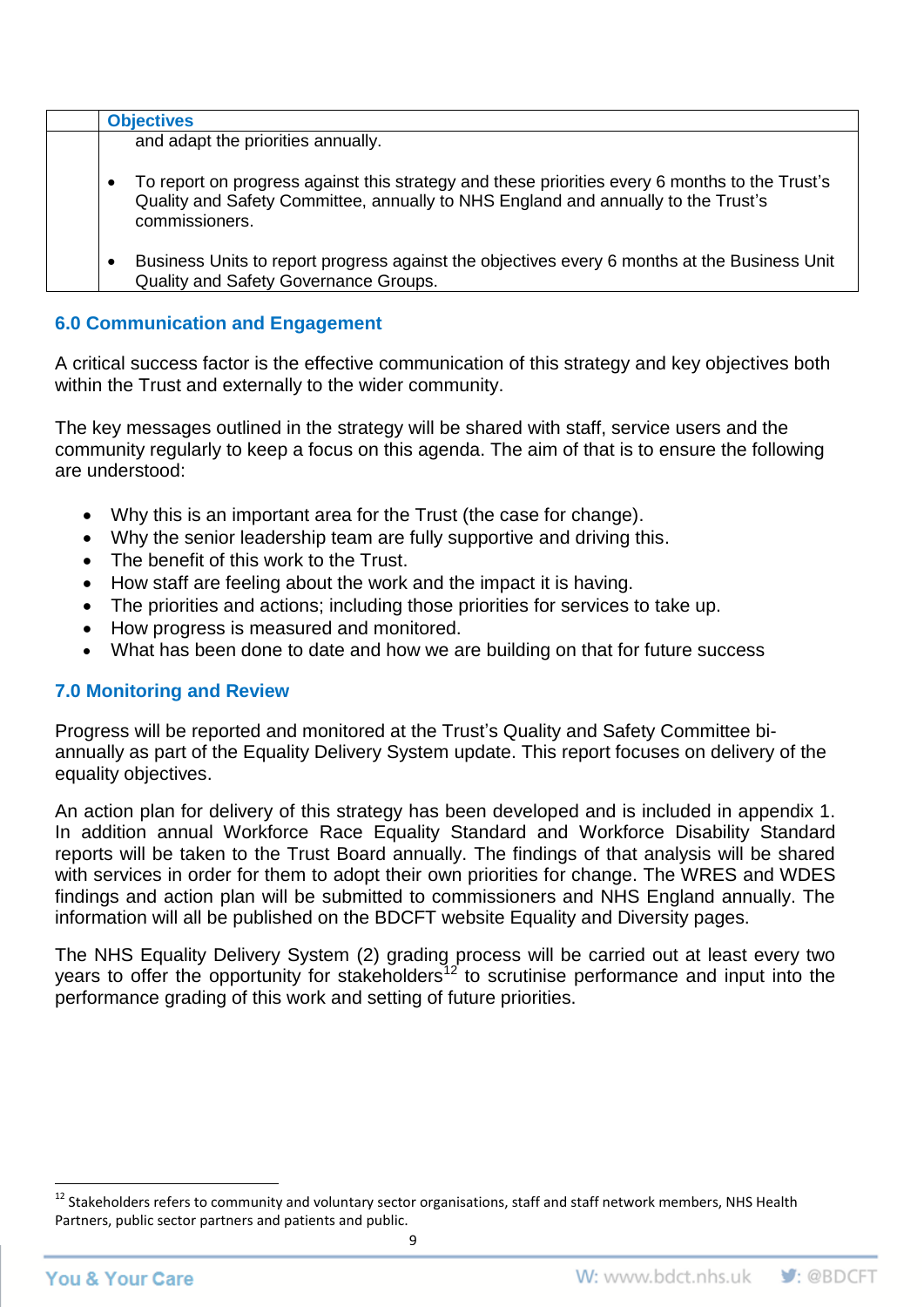|           | <b>Objectives</b>                                                                                                                                                                                     |
|-----------|-------------------------------------------------------------------------------------------------------------------------------------------------------------------------------------------------------|
|           | and adapt the priorities annually.                                                                                                                                                                    |
| $\bullet$ | To report on progress against this strategy and these priorities every 6 months to the Trust's<br>Quality and Safety Committee, annually to NHS England and annually to the Trust's<br>commissioners. |
|           | Business Units to report progress against the objectives every 6 months at the Business Unit<br>Quality and Safety Governance Groups.                                                                 |

### **6.0 Communication and Engagement**

A critical success factor is the effective communication of this strategy and key objectives both within the Trust and externally to the wider community.

The key messages outlined in the strategy will be shared with staff, service users and the community regularly to keep a focus on this agenda. The aim of that is to ensure the following are understood:

- Why this is an important area for the Trust (the case for change).
- Why the senior leadership team are fully supportive and driving this.
- The benefit of this work to the Trust.
- How staff are feeling about the work and the impact it is having.
- The priorities and actions; including those priorities for services to take up.
- How progress is measured and monitored.
- What has been done to date and how we are building on that for future success

### **7.0 Monitoring and Review**

Progress will be reported and monitored at the Trust's Quality and Safety Committee biannually as part of the Equality Delivery System update. This report focuses on delivery of the equality objectives.

An action plan for delivery of this strategy has been developed and is included in appendix 1. In addition annual Workforce Race Equality Standard and Workforce Disability Standard reports will be taken to the Trust Board annually. The findings of that analysis will be shared with services in order for them to adopt their own priorities for change. The WRES and WDES findings and action plan will be submitted to commissioners and NHS England annually. The information will all be published on the BDCFT website Equality and Diversity pages.

The NHS Equality Delivery System (2) grading process will be carried out at least every two years to offer the opportunity for stakeholders<sup>12</sup> to scrutinise performance and input into the performance grading of this work and setting of future priorities.

 $\overline{\phantom{a}}$ 

<sup>12</sup> Stakeholders refers to community and voluntary sector organisations, staff and staff network members, NHS Health Partners, public sector partners and patients and public.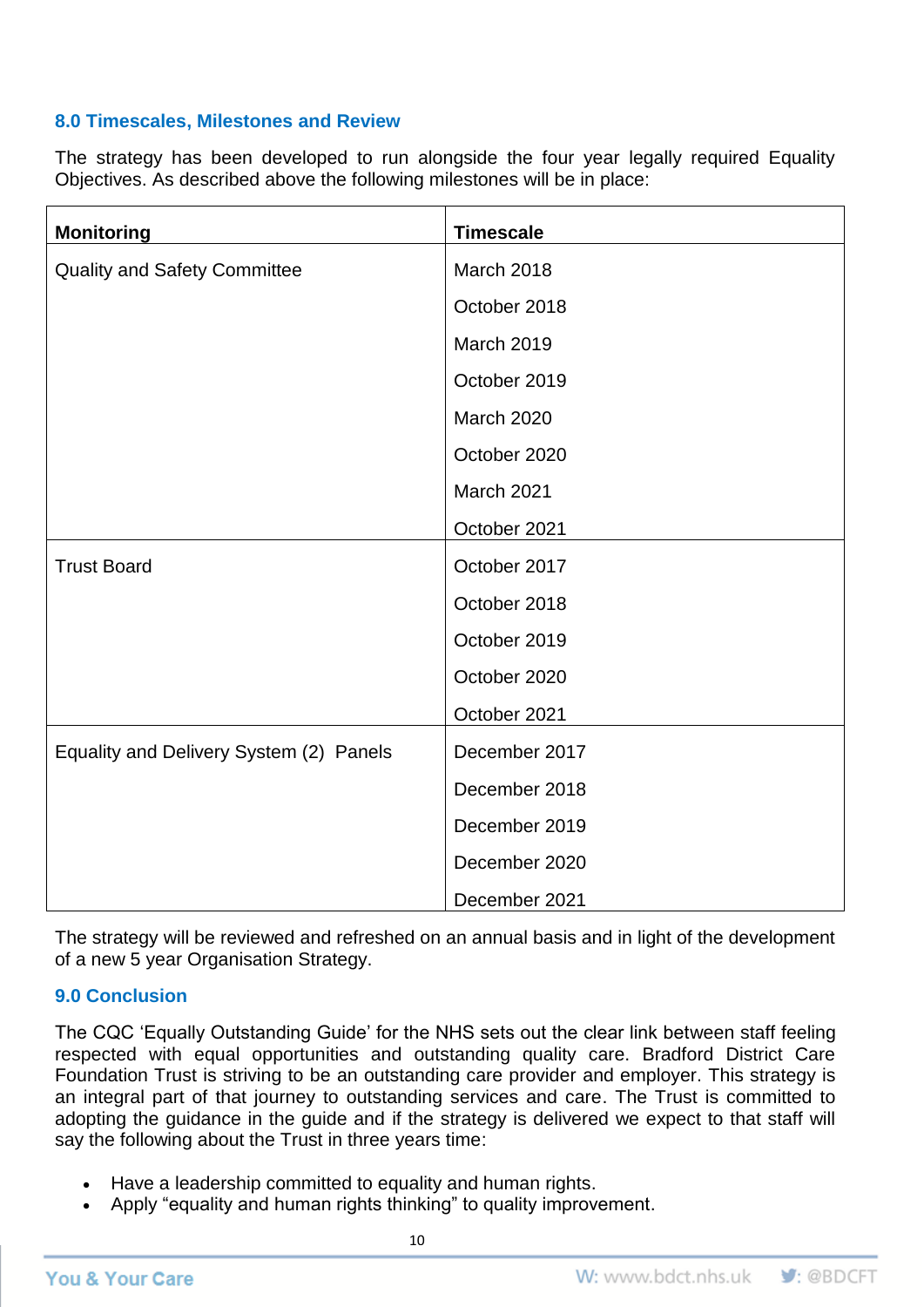### **8.0 Timescales, Milestones and Review**

The strategy has been developed to run alongside the four year legally required Equality Objectives. As described above the following milestones will be in place:

| <b>Monitoring</b>                       | <b>Timescale</b>  |
|-----------------------------------------|-------------------|
| <b>Quality and Safety Committee</b>     | March 2018        |
|                                         | October 2018      |
|                                         | <b>March 2019</b> |
|                                         | October 2019      |
|                                         | <b>March 2020</b> |
|                                         | October 2020      |
|                                         | March 2021        |
|                                         | October 2021      |
| <b>Trust Board</b>                      | October 2017      |
|                                         | October 2018      |
|                                         | October 2019      |
|                                         | October 2020      |
|                                         | October 2021      |
| Equality and Delivery System (2) Panels | December 2017     |
|                                         | December 2018     |
|                                         | December 2019     |
|                                         | December 2020     |
|                                         | December 2021     |

The strategy will be reviewed and refreshed on an annual basis and in light of the development of a new 5 year Organisation Strategy.

### **9.0 Conclusion**

The CQC 'Equally Outstanding Guide' for the NHS sets out the clear link between staff feeling respected with equal opportunities and outstanding quality care. Bradford District Care Foundation Trust is striving to be an outstanding care provider and employer. This strategy is an integral part of that journey to outstanding services and care. The Trust is committed to adopting the guidance in the guide and if the strategy is delivered we expect to that staff will say the following about the Trust in three years time:

- Have a leadership committed to equality and human rights.
- Apply "equality and human rights thinking" to quality improvement.